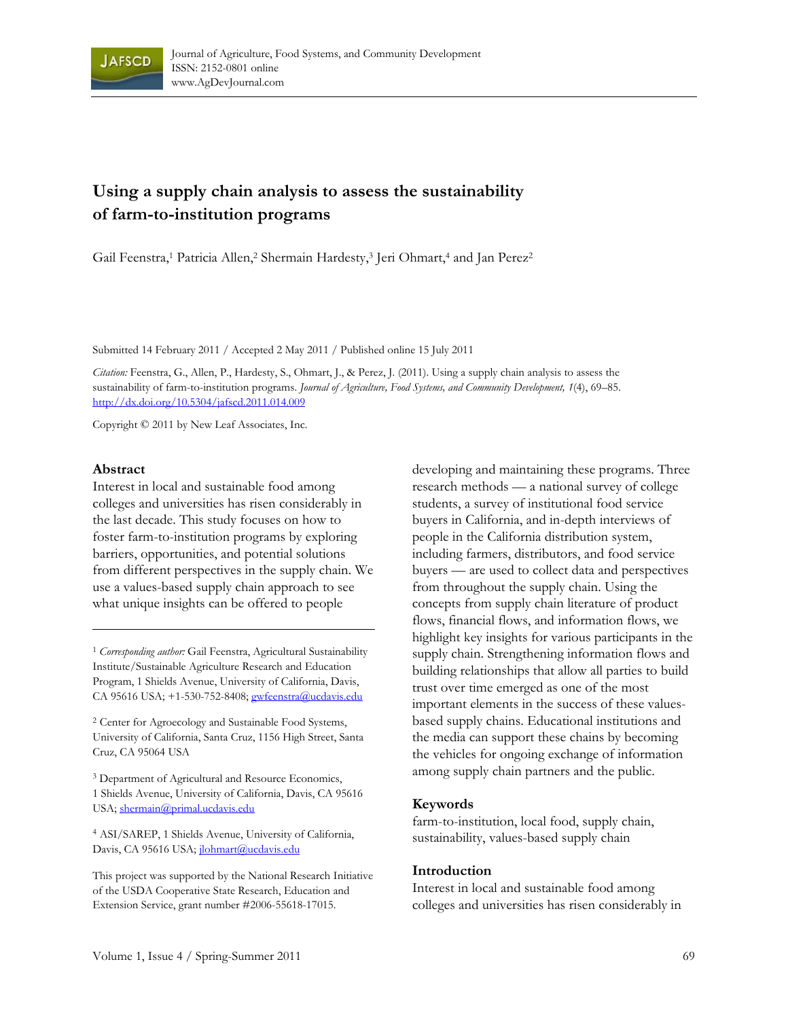

# **Using a supply chain analysis to assess the sustainability of farm-to-institution programs**

Gail Feenstra,<sup>1</sup> Patricia Allen,<sup>2</sup> Shermain Hardesty,<sup>3</sup> Jeri Ohmart,<sup>4</sup> and Jan Perez<sup>2</sup>

Submitted 14 February 2011 / Accepted 2 May 2011 / Published online 15 July 2011

*Citation:* Feenstra, G., Allen, P., Hardesty, S., Ohmart, J., & Perez, J. (2011). Using a supply chain analysis to assess the sustainability of farm-to-institution programs. *Journal of Agriculture, Food Systems, and Community Development, 1*(4), 69–85. http://dx.doi.org/10.5304/jafscd.2011.014.009

Copyright © 2011 by New Leaf Associates, Inc.

#### **Abstract**

Interest in local and sustainable food among colleges and universities has risen considerably in the last decade. This study focuses on how to foster farm-to-institution programs by exploring barriers, opportunities, and potential solutions from different perspectives in the supply chain. We use a values-based supply chain approach to see what unique insights can be offered to people

<sup>1</sup> Corresponding author: Gail Feenstra, Agricultural Sustainability Institute/Sustainable Agriculture Research and Education Program, 1 Shields Avenue, University of California, Davis, CA 95616 USA; +1-530-752-8408; gwfeenstra@ucdavis.edu

<sup>2</sup> Center for Agroecology and Sustainable Food Systems, University of California, Santa Cruz, 1156 High Street, Santa Cruz, CA 95064 USA

3 Department of Agricultural and Resource Economics, 1 Shields Avenue, University of California, Davis, CA 95616 USA; shermain@primal.ucdavis.edu

<sup>4</sup> ASI/SAREP, 1 Shields Avenue, University of California, Davis, CA 95616 USA; jlohmart@ucdavis.edu

This project was supported by the National Research Initiative of the USDA Cooperative State Research, Education and Extension Service, grant number #2006-55618-17015.

developing and maintaining these programs. Three research methods — a national survey of college students, a survey of institutional food service buyers in California, and in-depth interviews of people in the California distribution system, including farmers, distributors, and food service buyers — are used to collect data and perspectives from throughout the supply chain. Using the concepts from supply chain literature of product flows, financial flows, and information flows, we highlight key insights for various participants in the supply chain. Strengthening information flows and building relationships that allow all parties to build trust over time emerged as one of the most important elements in the success of these valuesbased supply chains. Educational institutions and the media can support these chains by becoming the vehicles for ongoing exchange of information among supply chain partners and the public.

#### **Keywords**

farm-to-institution, local food, supply chain, sustainability, values-based supply chain

#### **Introduction**

Interest in local and sustainable food among colleges and universities has risen considerably in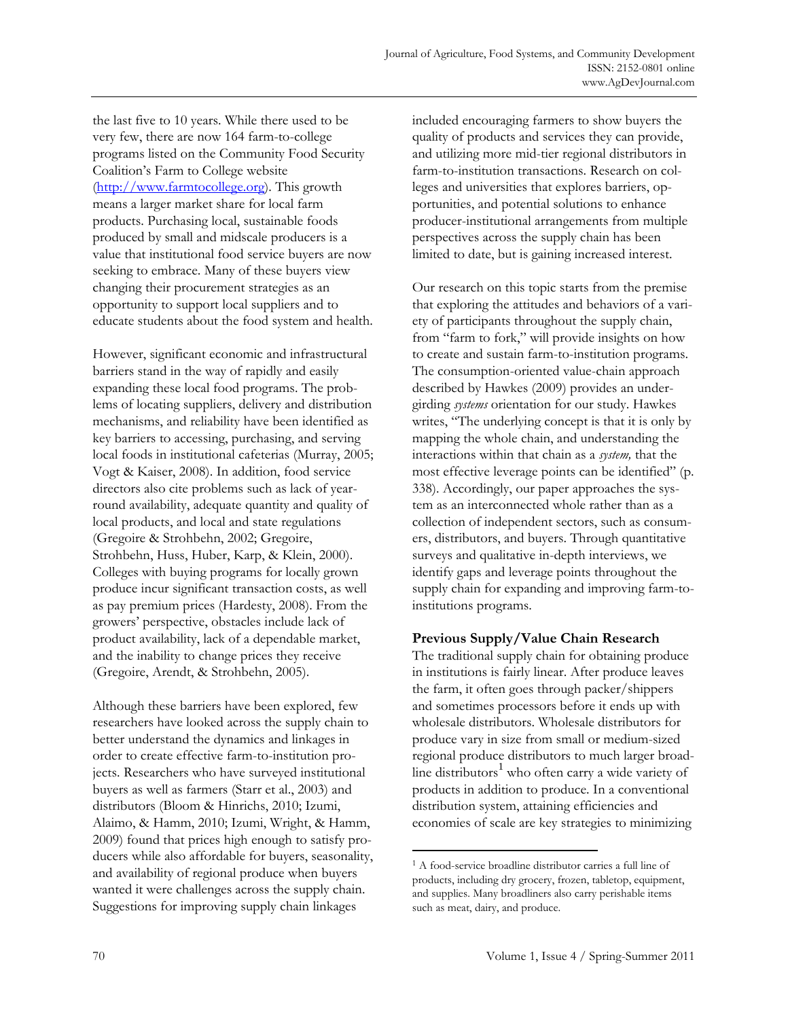the last five to 10 years. While there used to be very few, there are now 164 farm-to-college programs listed on the Community Food Security Coalition's Farm to College website (http://www.farmtocollege.org). This growth means a larger market share for local farm products. Purchasing local, sustainable foods produced by small and midscale producers is a value that institutional food service buyers are now seeking to embrace. Many of these buyers view changing their procurement strategies as an opportunity to support local suppliers and to educate students about the food system and health.

However, significant economic and infrastructural barriers stand in the way of rapidly and easily expanding these local food programs. The problems of locating suppliers, delivery and distribution mechanisms, and reliability have been identified as key barriers to accessing, purchasing, and serving local foods in institutional cafeterias (Murray, 2005; Vogt & Kaiser, 2008). In addition, food service directors also cite problems such as lack of yearround availability, adequate quantity and quality of local products, and local and state regulations (Gregoire & Strohbehn, 2002; Gregoire, Strohbehn, Huss, Huber, Karp, & Klein, 2000). Colleges with buying programs for locally grown produce incur significant transaction costs, as well as pay premium prices (Hardesty, 2008). From the growers' perspective, obstacles include lack of product availability, lack of a dependable market, and the inability to change prices they receive (Gregoire, Arendt, & Strohbehn, 2005).

Although these barriers have been explored, few researchers have looked across the supply chain to better understand the dynamics and linkages in order to create effective farm-to-institution projects. Researchers who have surveyed institutional buyers as well as farmers (Starr et al., 2003) and distributors (Bloom & Hinrichs, 2010; Izumi, Alaimo, & Hamm, 2010; Izumi, Wright, & Hamm, 2009) found that prices high enough to satisfy producers while also affordable for buyers, seasonality, and availability of regional produce when buyers wanted it were challenges across the supply chain. Suggestions for improving supply chain linkages

included encouraging farmers to show buyers the quality of products and services they can provide, and utilizing more mid-tier regional distributors in farm-to-institution transactions. Research on colleges and universities that explores barriers, opportunities, and potential solutions to enhance producer-institutional arrangements from multiple perspectives across the supply chain has been limited to date, but is gaining increased interest.

Our research on this topic starts from the premise that exploring the attitudes and behaviors of a variety of participants throughout the supply chain, from "farm to fork," will provide insights on how to create and sustain farm-to-institution programs. The consumption-oriented value-chain approach described by Hawkes (2009) provides an undergirding *systems* orientation for our study. Hawkes writes, "The underlying concept is that it is only by mapping the whole chain, and understanding the interactions within that chain as a *system,* that the most effective leverage points can be identified" (p. 338). Accordingly, our paper approaches the system as an interconnected whole rather than as a collection of independent sectors, such as consumers, distributors, and buyers. Through quantitative surveys and qualitative in-depth interviews, we identify gaps and leverage points throughout the supply chain for expanding and improving farm-toinstitutions programs.

# **Previous Supply/Value Chain Research**

The traditional supply chain for obtaining produce in institutions is fairly linear. After produce leaves the farm, it often goes through packer/shippers and sometimes processors before it ends up with wholesale distributors. Wholesale distributors for produce vary in size from small or medium-sized regional produce distributors to much larger broadline distributors<sup>1</sup> who often carry a wide variety of products in addition to produce. In a conventional distribution system, attaining efficiencies and economies of scale are key strategies to minimizing

 $\overline{a}$ 

<sup>1</sup> A food-service broadline distributor carries a full line of products, including dry grocery, frozen, tabletop, equipment, and supplies. Many broadliners also carry perishable items such as meat, dairy, and produce.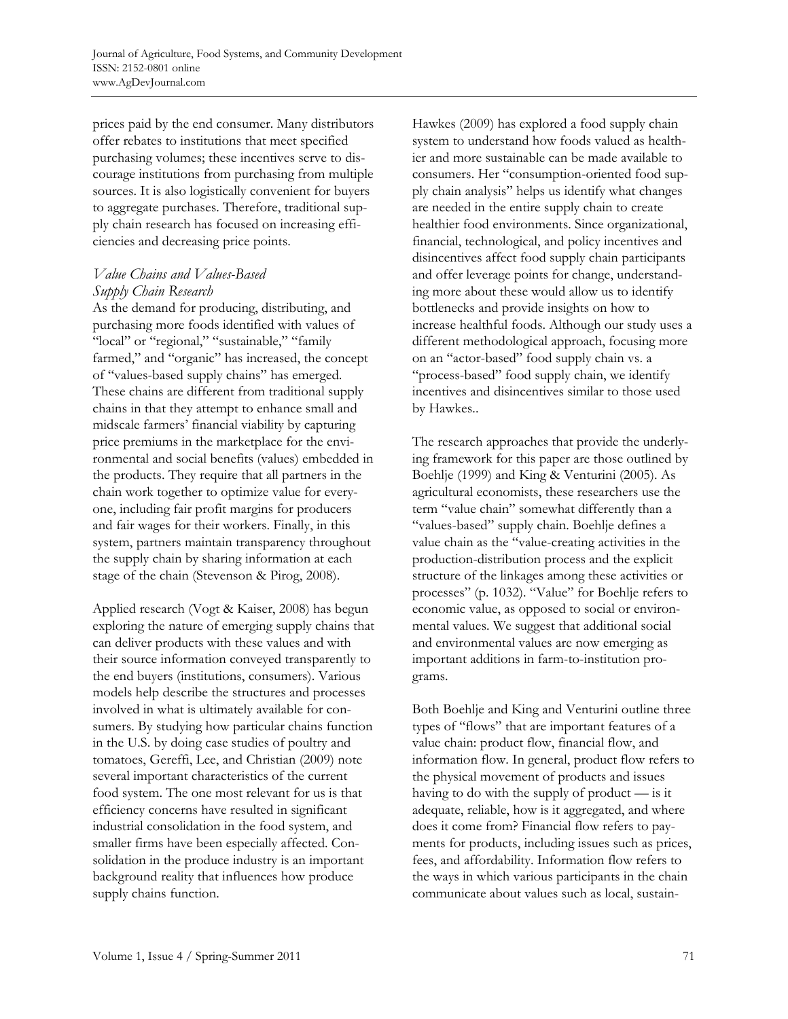prices paid by the end consumer. Many distributors offer rebates to institutions that meet specified purchasing volumes; these incentives serve to discourage institutions from purchasing from multiple sources. It is also logistically convenient for buyers to aggregate purchases. Therefore, traditional supply chain research has focused on increasing efficiencies and decreasing price points.

# *Value Chains and Values-Based Supply Chain Research*

As the demand for producing, distributing, and purchasing more foods identified with values of "local" or "regional," "sustainable," "family farmed," and "organic" has increased, the concept of "values-based supply chains" has emerged. These chains are different from traditional supply chains in that they attempt to enhance small and midscale farmers' financial viability by capturing price premiums in the marketplace for the environmental and social benefits (values) embedded in the products. They require that all partners in the chain work together to optimize value for everyone, including fair profit margins for producers and fair wages for their workers. Finally, in this system, partners maintain transparency throughout the supply chain by sharing information at each stage of the chain (Stevenson & Pirog, 2008).

Applied research (Vogt & Kaiser, 2008) has begun exploring the nature of emerging supply chains that can deliver products with these values and with their source information conveyed transparently to the end buyers (institutions, consumers). Various models help describe the structures and processes involved in what is ultimately available for consumers. By studying how particular chains function in the U.S. by doing case studies of poultry and tomatoes, Gereffi, Lee, and Christian (2009) note several important characteristics of the current food system. The one most relevant for us is that efficiency concerns have resulted in significant industrial consolidation in the food system, and smaller firms have been especially affected. Consolidation in the produce industry is an important background reality that influences how produce supply chains function.

Hawkes (2009) has explored a food supply chain system to understand how foods valued as healthier and more sustainable can be made available to consumers. Her "consumption-oriented food supply chain analysis" helps us identify what changes are needed in the entire supply chain to create healthier food environments. Since organizational, financial, technological, and policy incentives and disincentives affect food supply chain participants and offer leverage points for change, understanding more about these would allow us to identify bottlenecks and provide insights on how to increase healthful foods. Although our study uses a different methodological approach, focusing more on an "actor-based" food supply chain vs. a "process-based" food supply chain, we identify incentives and disincentives similar to those used by Hawkes..

The research approaches that provide the underlying framework for this paper are those outlined by Boehlje (1999) and King & Venturini (2005). As agricultural economists, these researchers use the term "value chain" somewhat differently than a "values-based" supply chain. Boehlje defines a value chain as the "value-creating activities in the production-distribution process and the explicit structure of the linkages among these activities or processes" (p. 1032). "Value" for Boehlje refers to economic value, as opposed to social or environmental values. We suggest that additional social and environmental values are now emerging as important additions in farm-to-institution programs.

Both Boehlje and King and Venturini outline three types of "flows" that are important features of a value chain: product flow, financial flow, and information flow. In general, product flow refers to the physical movement of products and issues having to do with the supply of product — is it adequate, reliable, how is it aggregated, and where does it come from? Financial flow refers to payments for products, including issues such as prices, fees, and affordability. Information flow refers to the ways in which various participants in the chain communicate about values such as local, sustain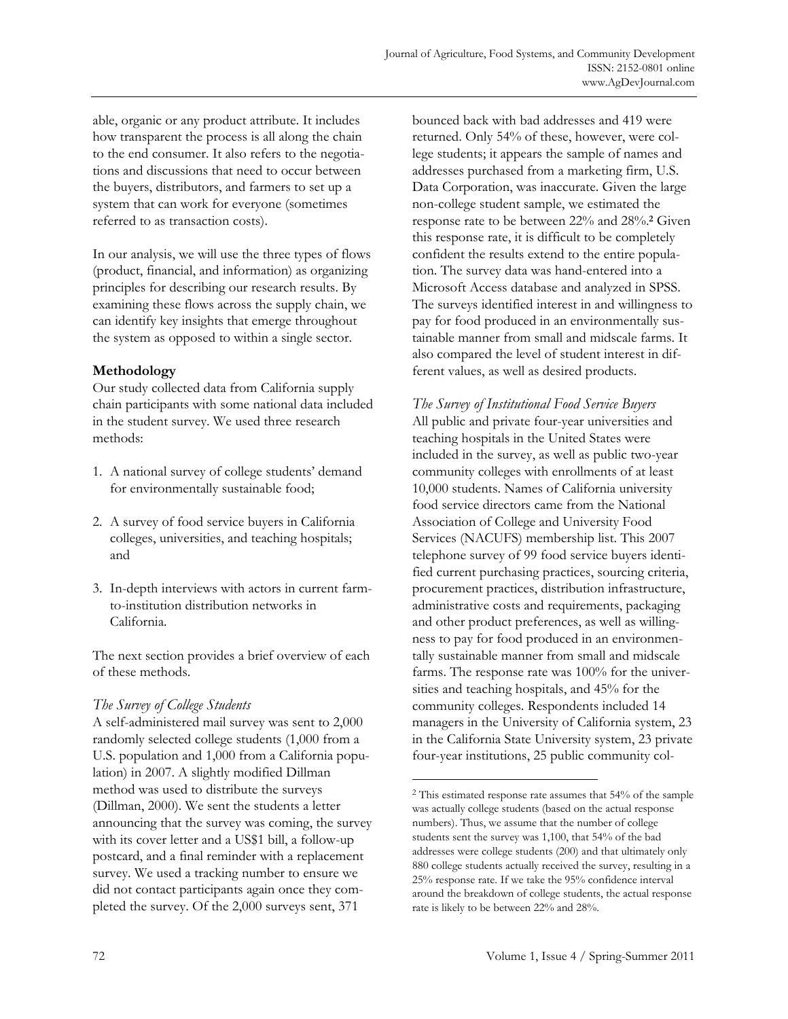able, organic or any product attribute. It includes how transparent the process is all along the chain to the end consumer. It also refers to the negotiations and discussions that need to occur between the buyers, distributors, and farmers to set up a system that can work for everyone (sometimes referred to as transaction costs).

In our analysis, we will use the three types of flows (product, financial, and information) as organizing principles for describing our research results. By examining these flows across the supply chain, we can identify key insights that emerge throughout the system as opposed to within a single sector.

# **Methodology**

Our study collected data from California supply chain participants with some national data included in the student survey. We used three research methods:

- 1. A national survey of college students' demand for environmentally sustainable food;
- 2. A survey of food service buyers in California colleges, universities, and teaching hospitals; and
- 3. In-depth interviews with actors in current farmto-institution distribution networks in California.

The next section provides a brief overview of each of these methods.

# *The Survey of College Students*

A self-administered mail survey was sent to 2,000 randomly selected college students (1,000 from a U.S. population and 1,000 from a California population) in 2007. A slightly modified Dillman method was used to distribute the surveys (Dillman, 2000). We sent the students a letter announcing that the survey was coming, the survey with its cover letter and a US\$1 bill, a follow-up postcard, and a final reminder with a replacement survey. We used a tracking number to ensure we did not contact participants again once they completed the survey. Of the 2,000 surveys sent, 371

bounced back with bad addresses and 419 were returned. Only 54% of these, however, were college students; it appears the sample of names and addresses purchased from a marketing firm, U.S. Data Corporation, was inaccurate. Given the large non-college student sample, we estimated the response rate to be between 22% and 28%.**2** Given this response rate, it is difficult to be completely confident the results extend to the entire population. The survey data was hand-entered into a Microsoft Access database and analyzed in SPSS. The surveys identified interest in and willingness to pay for food produced in an environmentally sustainable manner from small and midscale farms. It also compared the level of student interest in different values, as well as desired products.

*The Survey of Institutional Food Service Buyers*  All public and private four-year universities and teaching hospitals in the United States were included in the survey, as well as public two-year community colleges with enrollments of at least 10,000 students. Names of California university food service directors came from the National Association of College and University Food Services (NACUFS) membership list. This 2007 telephone survey of 99 food service buyers identified current purchasing practices, sourcing criteria, procurement practices, distribution infrastructure, administrative costs and requirements, packaging and other product preferences, as well as willingness to pay for food produced in an environmentally sustainable manner from small and midscale farms. The response rate was 100% for the universities and teaching hospitals, and 45% for the community colleges. Respondents included 14 managers in the University of California system, 23 in the California State University system, 23 private four-year institutions, 25 public community col-

 $\overline{a}$ 

<sup>&</sup>lt;sup>2</sup> This estimated response rate assumes that 54% of the sample was actually college students (based on the actual response numbers). Thus, we assume that the number of college students sent the survey was 1,100, that 54% of the bad addresses were college students (200) and that ultimately only 880 college students actually received the survey, resulting in a 25% response rate. If we take the 95% confidence interval around the breakdown of college students, the actual response rate is likely to be between 22% and 28%.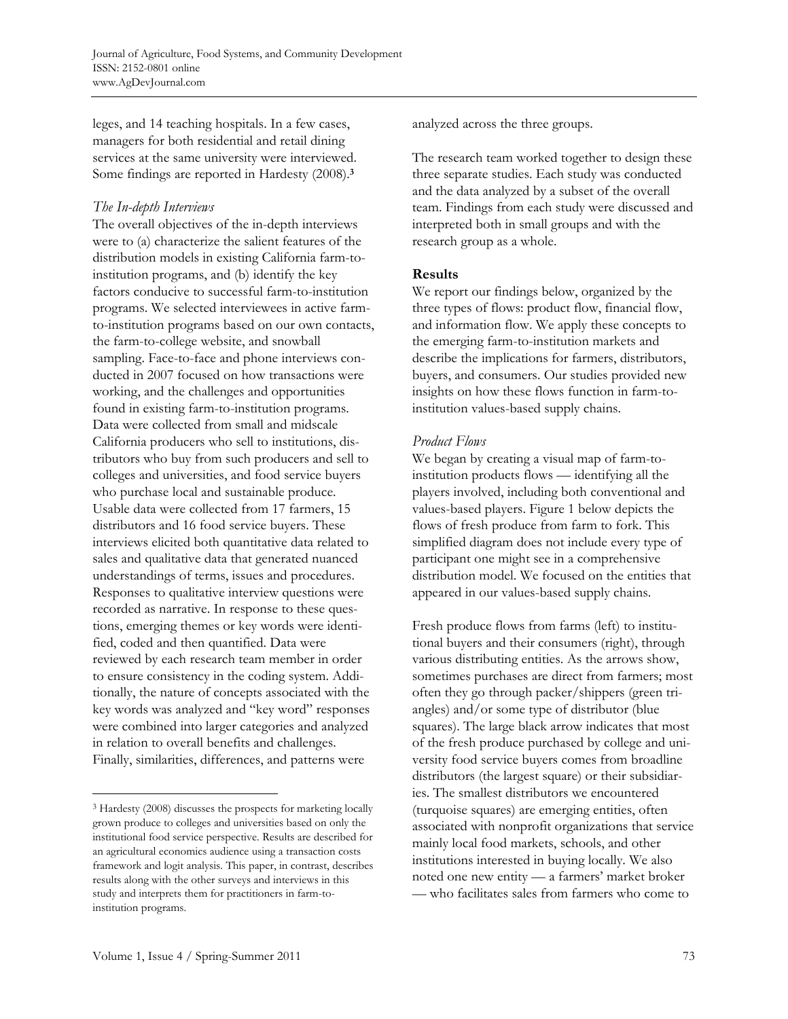leges, and 14 teaching hospitals. In a few cases, managers for both residential and retail dining services at the same university were interviewed. Some findings are reported in Hardesty (2008).**<sup>3</sup>**

# *The In-depth Interviews*

The overall objectives of the in-depth interviews were to (a) characterize the salient features of the distribution models in existing California farm-toinstitution programs, and (b) identify the key factors conducive to successful farm-to-institution programs. We selected interviewees in active farmto-institution programs based on our own contacts, the farm-to-college website, and snowball sampling. Face-to-face and phone interviews conducted in 2007 focused on how transactions were working, and the challenges and opportunities found in existing farm-to-institution programs. Data were collected from small and midscale California producers who sell to institutions, distributors who buy from such producers and sell to colleges and universities, and food service buyers who purchase local and sustainable produce. Usable data were collected from 17 farmers, 15 distributors and 16 food service buyers. These interviews elicited both quantitative data related to sales and qualitative data that generated nuanced understandings of terms, issues and procedures. Responses to qualitative interview questions were recorded as narrative. In response to these questions, emerging themes or key words were identified, coded and then quantified. Data were reviewed by each research team member in order to ensure consistency in the coding system. Additionally, the nature of concepts associated with the key words was analyzed and "key word" responses were combined into larger categories and analyzed in relation to overall benefits and challenges. Finally, similarities, differences, and patterns were

analyzed across the three groups.

The research team worked together to design these three separate studies. Each study was conducted and the data analyzed by a subset of the overall team. Findings from each study were discussed and interpreted both in small groups and with the research group as a whole.

# **Results**

We report our findings below, organized by the three types of flows: product flow, financial flow, and information flow. We apply these concepts to the emerging farm-to-institution markets and describe the implications for farmers, distributors, buyers, and consumers. Our studies provided new insights on how these flows function in farm-toinstitution values-based supply chains.

# *Product Flows*

We began by creating a visual map of farm-toinstitution products flows — identifying all the players involved, including both conventional and values-based players. Figure 1 below depicts the flows of fresh produce from farm to fork. This simplified diagram does not include every type of participant one might see in a comprehensive distribution model. We focused on the entities that appeared in our values-based supply chains.

Fresh produce flows from farms (left) to institutional buyers and their consumers (right), through various distributing entities. As the arrows show, sometimes purchases are direct from farmers; most often they go through packer/shippers (green triangles) and/or some type of distributor (blue squares). The large black arrow indicates that most of the fresh produce purchased by college and university food service buyers comes from broadline distributors (the largest square) or their subsidiaries. The smallest distributors we encountered (turquoise squares) are emerging entities, often associated with nonprofit organizations that service mainly local food markets, schools, and other institutions interested in buying locally. We also noted one new entity — a farmers' market broker — who facilitates sales from farmers who come to

 $\overline{a}$ 

<sup>3</sup> Hardesty (2008) discusses the prospects for marketing locally grown produce to colleges and universities based on only the institutional food service perspective. Results are described for an agricultural economics audience using a transaction costs framework and logit analysis. This paper, in contrast, describes results along with the other surveys and interviews in this study and interprets them for practitioners in farm-toinstitution programs.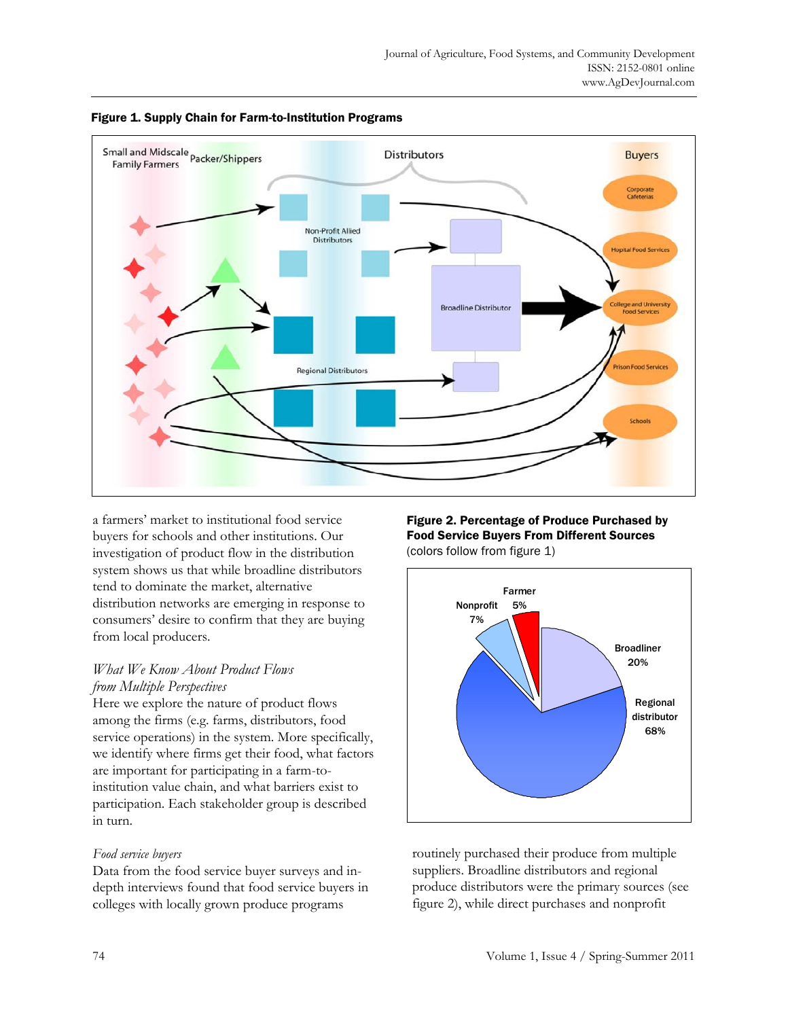



a farmers' market to institutional food service buyers for schools and other institutions. Our investigation of product flow in the distribution system shows us that while broadline distributors tend to dominate the market, alternative distribution networks are emerging in response to consumers' desire to confirm that they are buying from local producers.

# *What We Know About Product Flows from Multiple Perspectives*

Here we explore the nature of product flows among the firms (e.g. farms, distributors, food service operations) in the system. More specifically, we identify where firms get their food, what factors are important for participating in a farm-toinstitution value chain, and what barriers exist to participation. Each stakeholder group is described in turn.

# *Food service buyers*

Data from the food service buyer surveys and indepth interviews found that food service buyers in colleges with locally grown produce programs

#### Figure 2. Percentage of Produce Purchased by Food Service Buyers From Different Sources (colors follow from figure 1)



routinely purchased their produce from multiple suppliers. Broadline distributors and regional produce distributors were the primary sources (see figure 2), while direct purchases and nonprofit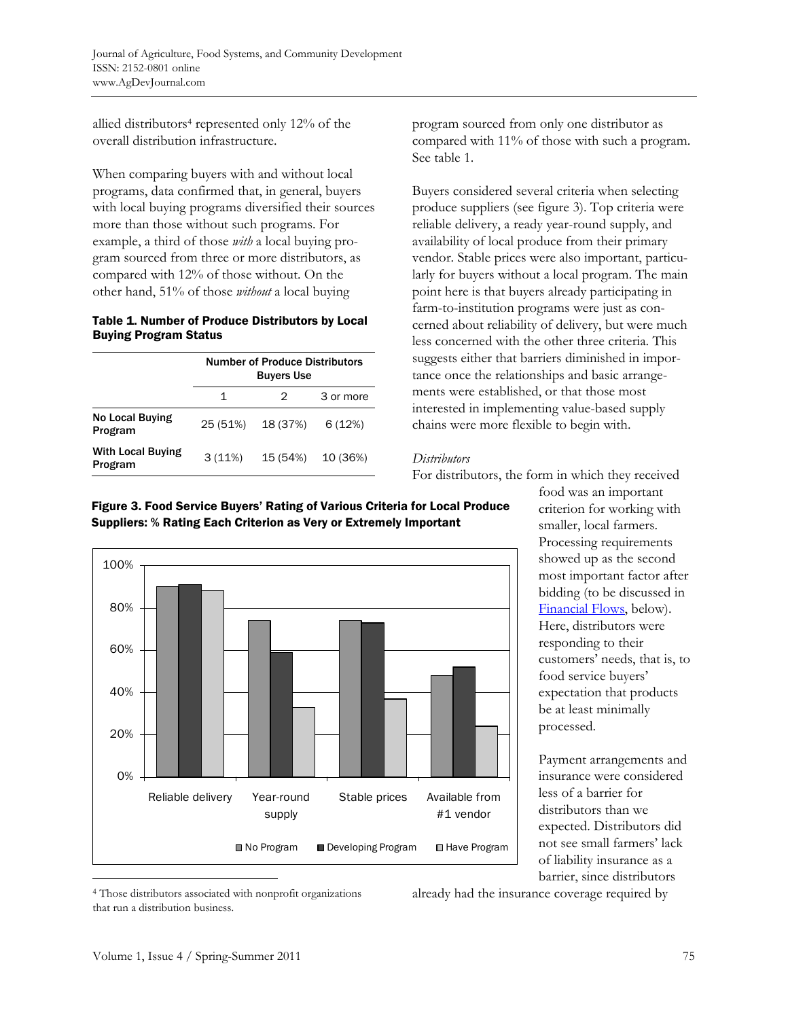allied distributors<sup>4</sup> represented only  $12\%$  of the overall distribution infrastructure.

When comparing buyers with and without local programs, data confirmed that, in general, buyers with local buying programs diversified their sources more than those without such programs. For example, a third of those *with* a local buying program sourced from three or more distributors, as compared with 12% of those without. On the other hand, 51% of those *without* a local buying

#### Table 1. Number of Produce Distributors by Local Buying Program Status

|                                     | <b>Number of Produce Distributors</b><br><b>Buyers Use</b> |          |           |
|-------------------------------------|------------------------------------------------------------|----------|-----------|
|                                     | 1                                                          | 2.       | 3 or more |
| No Local Buying<br>Program          | 25 (51%)                                                   | 18 (37%) | 6(12%)    |
| <b>With Local Buying</b><br>Program | 3(11%)                                                     | 15 (54%) | 10 (36%)  |

program sourced from only one distributor as compared with 11% of those with such a program. See table 1.

Buyers considered several criteria when selecting produce suppliers (see figure 3). Top criteria were reliable delivery, a ready year-round supply, and availability of local produce from their primary vendor. Stable prices were also important, particularly for buyers without a local program. The main point here is that buyers already participating in farm-to-institution programs were just as concerned about reliability of delivery, but were much less concerned with the other three criteria. This suggests either that barriers diminished in importance once the relationships and basic arrangements were established, or that those most interested in implementing value-based supply chains were more flexible to begin with.

### *Distributors*

For distributors, the form in which they received



Figure 3. Food Service Buyers' Rating of Various Criteria for Local Produce Suppliers: % Rating Each Criterion as Very or Extremely Important

food was an important criterion for working with smaller, local farmers. Processing requirements showed up as the second most important factor after bidding (to be discussed in [Financial Flows,](#page-7-0) below). Here, distributors were responding to their customers' needs, that is, to food service buyers' expectation that products be at least minimally processed.

Payment arrangements and insurance were considered less of a barrier for distributors than we expected. Distributors did not see small farmers' lack of liability insurance as a barrier, since distributors

4 Those distributors associated with nonprofit organizations that run a distribution business.

already had the insurance coverage required by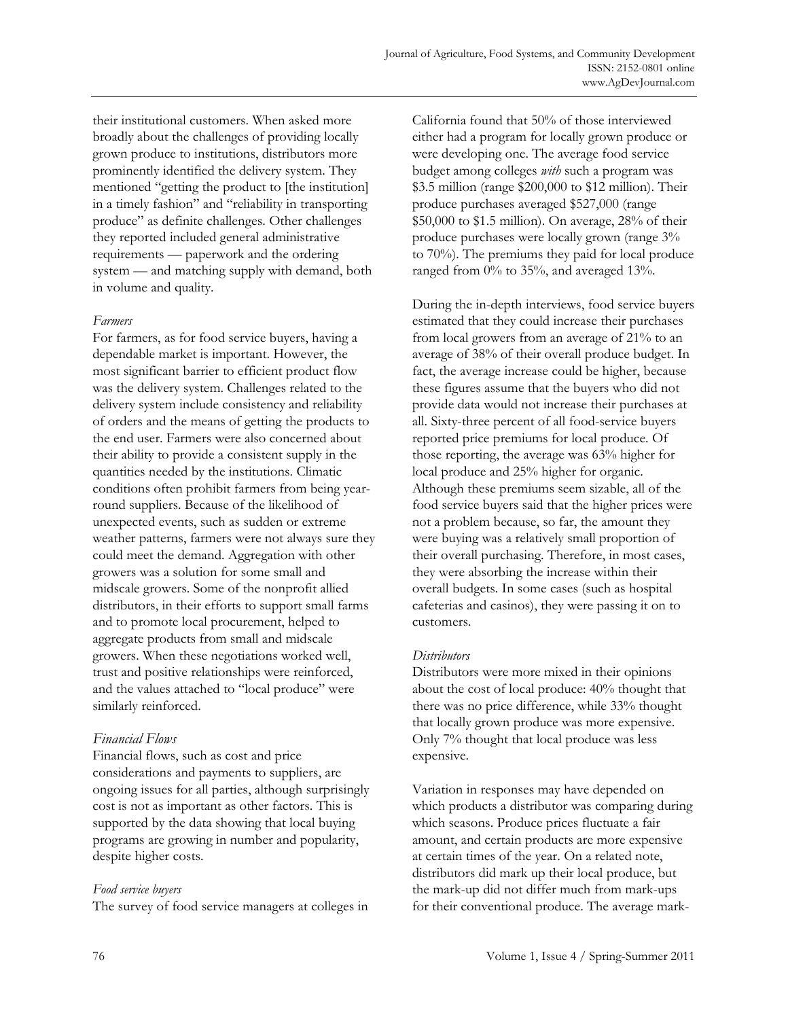<span id="page-7-0"></span>their institutional customers. When asked more broadly about the challenges of providing locally grown produce to institutions, distributors more prominently identified the delivery system. They mentioned "getting the product to [the institution] in a timely fashion" and "reliability in transporting produce" as definite challenges. Other challenges they reported included general administrative requirements — paperwork and the ordering system — and matching supply with demand, both in volume and quality.

#### *Farmers*

For farmers, as for food service buyers, having a dependable market is important. However, the most significant barrier to efficient product flow was the delivery system. Challenges related to the delivery system include consistency and reliability of orders and the means of getting the products to the end user. Farmers were also concerned about their ability to provide a consistent supply in the quantities needed by the institutions. Climatic conditions often prohibit farmers from being yearround suppliers. Because of the likelihood of unexpected events, such as sudden or extreme weather patterns, farmers were not always sure they could meet the demand. Aggregation with other growers was a solution for some small and midscale growers. Some of the nonprofit allied distributors, in their efforts to support small farms and to promote local procurement, helped to aggregate products from small and midscale growers. When these negotiations worked well, trust and positive relationships were reinforced, and the values attached to "local produce" were similarly reinforced.

### *Financial Flows*

Financial flows, such as cost and price considerations and payments to suppliers, are ongoing issues for all parties, although surprisingly cost is not as important as other factors. This is supported by the data showing that local buying programs are growing in number and popularity, despite higher costs.

### *Food service buyers*

The survey of food service managers at colleges in

California found that 50% of those interviewed either had a program for locally grown produce or were developing one. The average food service budget among colleges *with* such a program was \$3.5 million (range \$200,000 to \$12 million). Their produce purchases averaged \$527,000 (range \$50,000 to \$1.5 million). On average, 28% of their produce purchases were locally grown (range 3% to 70%). The premiums they paid for local produce ranged from 0% to 35%, and averaged 13%.

During the in-depth interviews, food service buyers estimated that they could increase their purchases from local growers from an average of 21% to an average of 38% of their overall produce budget. In fact, the average increase could be higher, because these figures assume that the buyers who did not provide data would not increase their purchases at all. Sixty-three percent of all food-service buyers reported price premiums for local produce. Of those reporting, the average was 63% higher for local produce and 25% higher for organic. Although these premiums seem sizable, all of the food service buyers said that the higher prices were not a problem because, so far, the amount they were buying was a relatively small proportion of their overall purchasing. Therefore, in most cases, they were absorbing the increase within their overall budgets. In some cases (such as hospital cafeterias and casinos), they were passing it on to customers.

### *Distributors*

Distributors were more mixed in their opinions about the cost of local produce: 40% thought that there was no price difference, while 33% thought that locally grown produce was more expensive. Only 7% thought that local produce was less expensive.

Variation in responses may have depended on which products a distributor was comparing during which seasons. Produce prices fluctuate a fair amount, and certain products are more expensive at certain times of the year. On a related note, distributors did mark up their local produce, but the mark-up did not differ much from mark-ups for their conventional produce. The average mark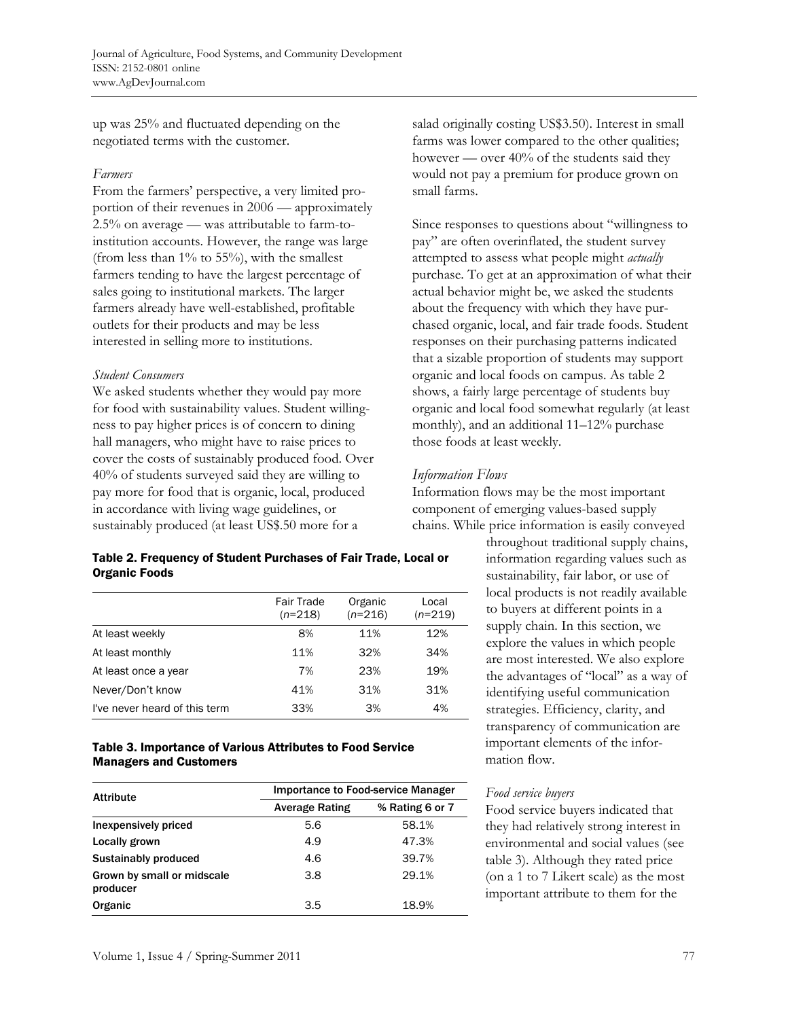up was 25% and fluctuated depending on the negotiated terms with the customer.

#### *Farmers*

From the farmers' perspective, a very limited proportion of their revenues in 2006 — approximately 2.5% on average — was attributable to farm-toinstitution accounts. However, the range was large (from less than 1% to 55%), with the smallest farmers tending to have the largest percentage of sales going to institutional markets. The larger farmers already have well-established, profitable outlets for their products and may be less interested in selling more to institutions.

#### *Student Consumers*

We asked students whether they would pay more for food with sustainability values. Student willingness to pay higher prices is of concern to dining hall managers, who might have to raise prices to cover the costs of sustainably produced food. Over 40% of students surveyed said they are willing to pay more for food that is organic, local, produced in accordance with living wage guidelines, or sustainably produced (at least US\$.50 more for a

#### Table 2. Frequency of Student Purchases of Fair Trade, Local or Organic Foods

|                               | <b>Fair Trade</b><br>$(n=218)$ | Organic<br>$(n=216)$ | Local<br>$(n=219)$ |
|-------------------------------|--------------------------------|----------------------|--------------------|
| At least weekly               | 8%                             | 11%                  | 12%                |
| At least monthly              | 11%                            | 32%                  | 34%                |
| At least once a year          | 7%                             | 23%                  | 19%                |
| Never/Don't know              | 41%                            | 31%                  | 31%                |
| I've never heard of this term | 33%                            | 3%                   | 4%                 |

#### Table 3. Importance of Various Attributes to Food Service Managers and Customers

| <b>Attribute</b>                       | Importance to Food-service Manager |                 |  |
|----------------------------------------|------------------------------------|-----------------|--|
|                                        | <b>Average Rating</b>              | % Rating 6 or 7 |  |
| Inexpensively priced                   | 5.6                                | 58.1%           |  |
| Locally grown                          | 4.9                                | 47.3%           |  |
| Sustainably produced                   | 4.6                                | 39.7%           |  |
| Grown by small or midscale<br>producer | 3.8                                | 29.1%           |  |
| Organic                                | 3.5                                | 18.9%           |  |

salad originally costing US\$3.50). Interest in small farms was lower compared to the other qualities; however — over 40% of the students said they would not pay a premium for produce grown on small farms.

Since responses to questions about "willingness to pay" are often overinflated, the student survey attempted to assess what people might *actually* purchase. To get at an approximation of what their actual behavior might be, we asked the students about the frequency with which they have purchased organic, local, and fair trade foods. Student responses on their purchasing patterns indicated that a sizable proportion of students may support organic and local foods on campus. As table 2 shows, a fairly large percentage of students buy organic and local food somewhat regularly (at least monthly), and an additional 11–12% purchase those foods at least weekly.

# *Information Flows*

Information flows may be the most important component of emerging values-based supply chains. While price information is easily conveyed

> throughout traditional supply chains, information regarding values such as sustainability, fair labor, or use of local products is not readily available to buyers at different points in a supply chain. In this section, we explore the values in which people are most interested. We also explore the advantages of "local" as a way of identifying useful communication strategies. Efficiency, clarity, and transparency of communication are important elements of the information flow.

### *Food service buyers*

Food service buyers indicated that they had relatively strong interest in environmental and social values (see table 3). Although they rated price (on a 1 to 7 Likert scale) as the most important attribute to them for the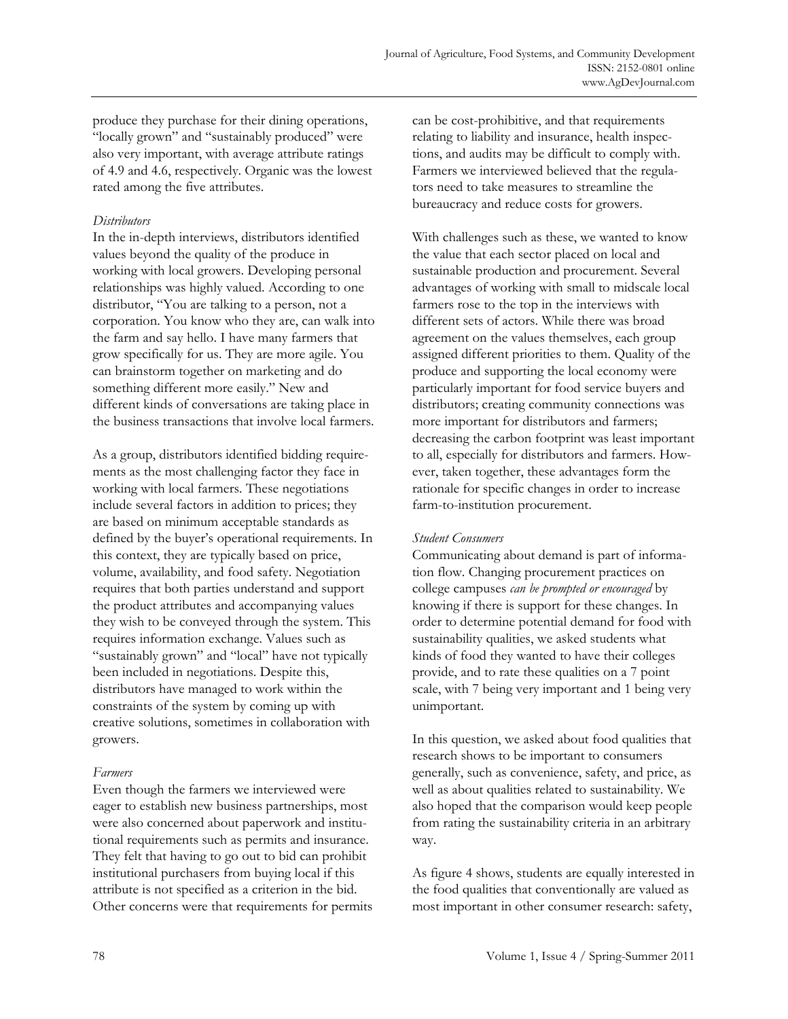produce they purchase for their dining operations, "locally grown" and "sustainably produced" were also very important, with average attribute ratings of 4.9 and 4.6, respectively. Organic was the lowest rated among the five attributes.

### *Distributors*

In the in-depth interviews, distributors identified values beyond the quality of the produce in working with local growers. Developing personal relationships was highly valued. According to one distributor, "You are talking to a person, not a corporation. You know who they are, can walk into the farm and say hello. I have many farmers that grow specifically for us. They are more agile. You can brainstorm together on marketing and do something different more easily." New and different kinds of conversations are taking place in the business transactions that involve local farmers.

As a group, distributors identified bidding requirements as the most challenging factor they face in working with local farmers. These negotiations include several factors in addition to prices; they are based on minimum acceptable standards as defined by the buyer's operational requirements. In this context, they are typically based on price, volume, availability, and food safety. Negotiation requires that both parties understand and support the product attributes and accompanying values they wish to be conveyed through the system. This requires information exchange. Values such as "sustainably grown" and "local" have not typically been included in negotiations. Despite this, distributors have managed to work within the constraints of the system by coming up with creative solutions, sometimes in collaboration with growers.

### *Farmers*

Even though the farmers we interviewed were eager to establish new business partnerships, most were also concerned about paperwork and institutional requirements such as permits and insurance. They felt that having to go out to bid can prohibit institutional purchasers from buying local if this attribute is not specified as a criterion in the bid. Other concerns were that requirements for permits can be cost-prohibitive, and that requirements relating to liability and insurance, health inspections, and audits may be difficult to comply with. Farmers we interviewed believed that the regulators need to take measures to streamline the bureaucracy and reduce costs for growers.

With challenges such as these, we wanted to know the value that each sector placed on local and sustainable production and procurement. Several advantages of working with small to midscale local farmers rose to the top in the interviews with different sets of actors. While there was broad agreement on the values themselves, each group assigned different priorities to them. Quality of the produce and supporting the local economy were particularly important for food service buyers and distributors; creating community connections was more important for distributors and farmers; decreasing the carbon footprint was least important to all, especially for distributors and farmers. However, taken together, these advantages form the rationale for specific changes in order to increase farm-to-institution procurement.

#### *Student Consumers*

Communicating about demand is part of information flow. Changing procurement practices on college campuses *can be prompted or encouraged* by knowing if there is support for these changes. In order to determine potential demand for food with sustainability qualities, we asked students what kinds of food they wanted to have their colleges provide, and to rate these qualities on a 7 point scale, with 7 being very important and 1 being very unimportant.

In this question, we asked about food qualities that research shows to be important to consumers generally, such as convenience, safety, and price, as well as about qualities related to sustainability. We also hoped that the comparison would keep people from rating the sustainability criteria in an arbitrary way.

As figure 4 shows, students are equally interested in the food qualities that conventionally are valued as most important in other consumer research: safety,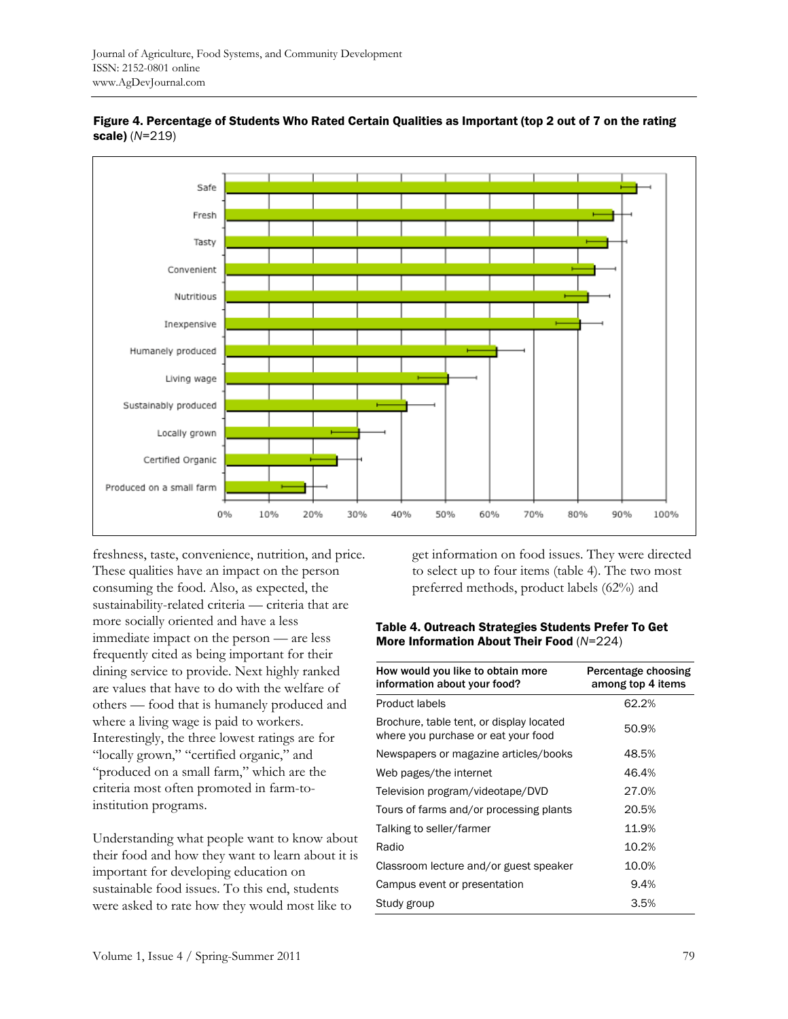

Figure 4. Percentage of Students Who Rated Certain Qualities as Important (top 2 out of 7 on the rating scale) (*N*=219)

freshness, taste, convenience, nutrition, and price. These qualities have an impact on the person consuming the food. Also, as expected, the sustainability-related criteria — criteria that are more socially oriented and have a less immediate impact on the person — are less frequently cited as being important for their dining service to provide. Next highly ranked are values that have to do with the welfare of others — food that is humanely produced and where a living wage is paid to workers. Interestingly, the three lowest ratings are for "locally grown," "certified organic," and "produced on a small farm," which are the criteria most often promoted in farm-toinstitution programs.

Understanding what people want to know about their food and how they want to learn about it is important for developing education on sustainable food issues. To this end, students were asked to rate how they would most like to

get information on food issues. They were directed to select up to four items (table 4). The two most preferred methods, product labels (62%) and

#### Table 4. Outreach Strategies Students Prefer To Get More Information About Their Food (*N*=224)

| How would you like to obtain more<br>information about your food?               | Percentage choosing<br>among top 4 items |
|---------------------------------------------------------------------------------|------------------------------------------|
| <b>Product labels</b>                                                           | 62.2%                                    |
| Brochure, table tent, or display located<br>where you purchase or eat your food | 50.9%                                    |
| Newspapers or magazine articles/books                                           | 48.5%                                    |
| Web pages/the internet                                                          | 46.4%                                    |
| Television program/videotape/DVD                                                | 27.0%                                    |
| Tours of farms and/or processing plants                                         | 20.5%                                    |
| Talking to seller/farmer                                                        | 11.9%                                    |
| Radio                                                                           | 10.2%                                    |
| Classroom lecture and/or guest speaker                                          | 10.0%                                    |
| Campus event or presentation                                                    | 9.4%                                     |
| Study group                                                                     | 3.5%                                     |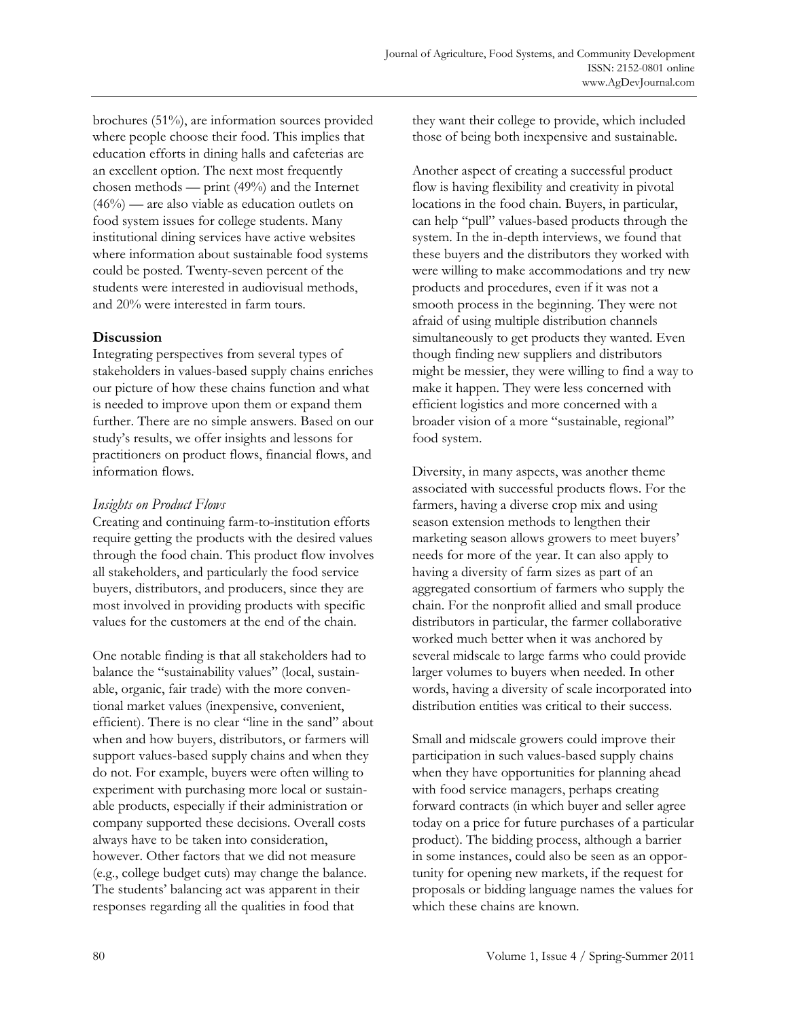brochures (51%), are information sources provided where people choose their food. This implies that education efforts in dining halls and cafeterias are an excellent option. The next most frequently chosen methods — print (49%) and the Internet (46%) — are also viable as education outlets on food system issues for college students. Many institutional dining services have active websites where information about sustainable food systems could be posted. Twenty-seven percent of the students were interested in audiovisual methods, and 20% were interested in farm tours.

# **Discussion**

Integrating perspectives from several types of stakeholders in values-based supply chains enriches our picture of how these chains function and what is needed to improve upon them or expand them further. There are no simple answers. Based on our study's results, we offer insights and lessons for practitioners on product flows, financial flows, and information flows.

# *Insights on Product Flows*

Creating and continuing farm-to-institution efforts require getting the products with the desired values through the food chain. This product flow involves all stakeholders, and particularly the food service buyers, distributors, and producers, since they are most involved in providing products with specific values for the customers at the end of the chain.

One notable finding is that all stakeholders had to balance the "sustainability values" (local, sustainable, organic, fair trade) with the more conventional market values (inexpensive, convenient, efficient). There is no clear "line in the sand" about when and how buyers, distributors, or farmers will support values-based supply chains and when they do not. For example, buyers were often willing to experiment with purchasing more local or sustainable products, especially if their administration or company supported these decisions. Overall costs always have to be taken into consideration, however. Other factors that we did not measure (e.g., college budget cuts) may change the balance. The students' balancing act was apparent in their responses regarding all the qualities in food that

they want their college to provide, which included those of being both inexpensive and sustainable.

Another aspect of creating a successful product flow is having flexibility and creativity in pivotal locations in the food chain. Buyers, in particular, can help "pull" values-based products through the system. In the in-depth interviews, we found that these buyers and the distributors they worked with were willing to make accommodations and try new products and procedures, even if it was not a smooth process in the beginning. They were not afraid of using multiple distribution channels simultaneously to get products they wanted. Even though finding new suppliers and distributors might be messier, they were willing to find a way to make it happen. They were less concerned with efficient logistics and more concerned with a broader vision of a more "sustainable, regional" food system.

Diversity, in many aspects, was another theme associated with successful products flows. For the farmers, having a diverse crop mix and using season extension methods to lengthen their marketing season allows growers to meet buyers' needs for more of the year. It can also apply to having a diversity of farm sizes as part of an aggregated consortium of farmers who supply the chain. For the nonprofit allied and small produce distributors in particular, the farmer collaborative worked much better when it was anchored by several midscale to large farms who could provide larger volumes to buyers when needed. In other words, having a diversity of scale incorporated into distribution entities was critical to their success.

Small and midscale growers could improve their participation in such values-based supply chains when they have opportunities for planning ahead with food service managers, perhaps creating forward contracts (in which buyer and seller agree today on a price for future purchases of a particular product). The bidding process, although a barrier in some instances, could also be seen as an opportunity for opening new markets, if the request for proposals or bidding language names the values for which these chains are known.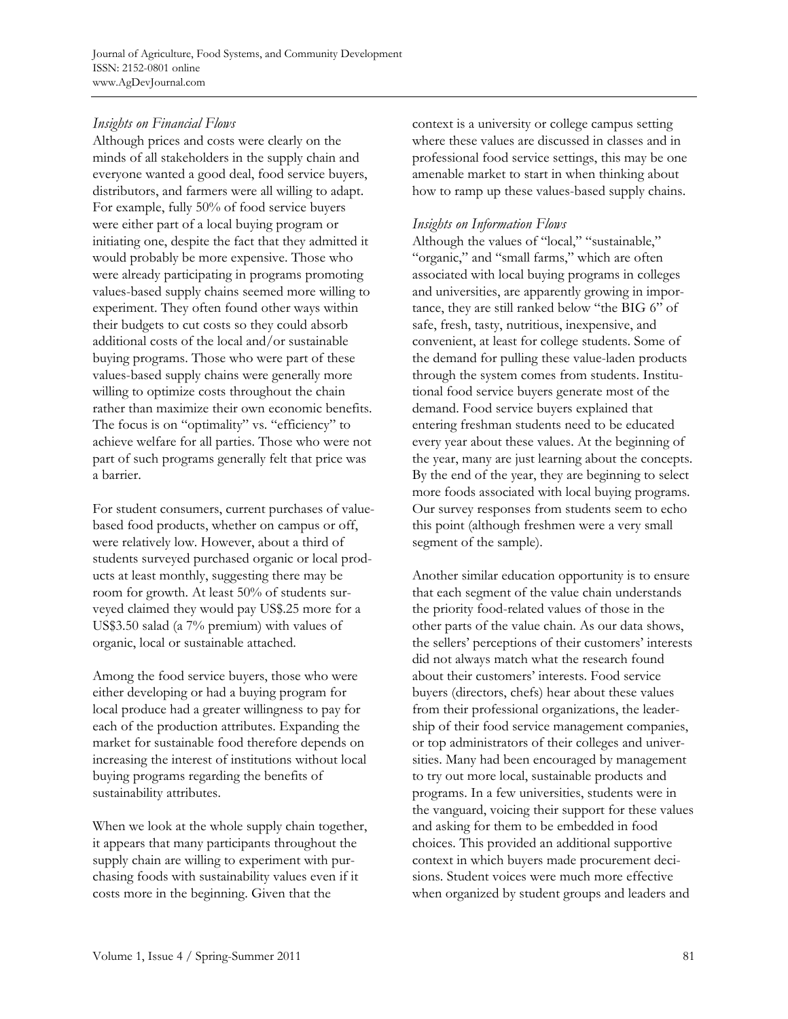Journal of Agriculture, Food Systems, and Community Development ISSN: 2152-0801 online www.AgDevJournal.com

# *Insights on Financial Flows*

Although prices and costs were clearly on the minds of all stakeholders in the supply chain and everyone wanted a good deal, food service buyers, distributors, and farmers were all willing to adapt. For example, fully 50% of food service buyers were either part of a local buying program or initiating one, despite the fact that they admitted it would probably be more expensive. Those who were already participating in programs promoting values-based supply chains seemed more willing to experiment. They often found other ways within their budgets to cut costs so they could absorb additional costs of the local and/or sustainable buying programs. Those who were part of these values-based supply chains were generally more willing to optimize costs throughout the chain rather than maximize their own economic benefits. The focus is on "optimality" vs. "efficiency" to achieve welfare for all parties. Those who were not part of such programs generally felt that price was a barrier.

For student consumers, current purchases of valuebased food products, whether on campus or off, were relatively low. However, about a third of students surveyed purchased organic or local products at least monthly, suggesting there may be room for growth. At least 50% of students surveyed claimed they would pay US\$.25 more for a US\$3.50 salad (a 7% premium) with values of organic, local or sustainable attached.

Among the food service buyers, those who were either developing or had a buying program for local produce had a greater willingness to pay for each of the production attributes. Expanding the market for sustainable food therefore depends on increasing the interest of institutions without local buying programs regarding the benefits of sustainability attributes.

When we look at the whole supply chain together, it appears that many participants throughout the supply chain are willing to experiment with purchasing foods with sustainability values even if it costs more in the beginning. Given that the

context is a university or college campus setting where these values are discussed in classes and in professional food service settings, this may be one amenable market to start in when thinking about how to ramp up these values-based supply chains.

# *Insights on Information Flows*

Although the values of "local," "sustainable," "organic," and "small farms," which are often associated with local buying programs in colleges and universities, are apparently growing in importance, they are still ranked below "the BIG 6" of safe, fresh, tasty, nutritious, inexpensive, and convenient, at least for college students. Some of the demand for pulling these value-laden products through the system comes from students. Institutional food service buyers generate most of the demand. Food service buyers explained that entering freshman students need to be educated every year about these values. At the beginning of the year, many are just learning about the concepts. By the end of the year, they are beginning to select more foods associated with local buying programs. Our survey responses from students seem to echo this point (although freshmen were a very small segment of the sample).

Another similar education opportunity is to ensure that each segment of the value chain understands the priority food-related values of those in the other parts of the value chain. As our data shows, the sellers' perceptions of their customers' interests did not always match what the research found about their customers' interests. Food service buyers (directors, chefs) hear about these values from their professional organizations, the leadership of their food service management companies, or top administrators of their colleges and universities. Many had been encouraged by management to try out more local, sustainable products and programs. In a few universities, students were in the vanguard, voicing their support for these values and asking for them to be embedded in food choices. This provided an additional supportive context in which buyers made procurement decisions. Student voices were much more effective when organized by student groups and leaders and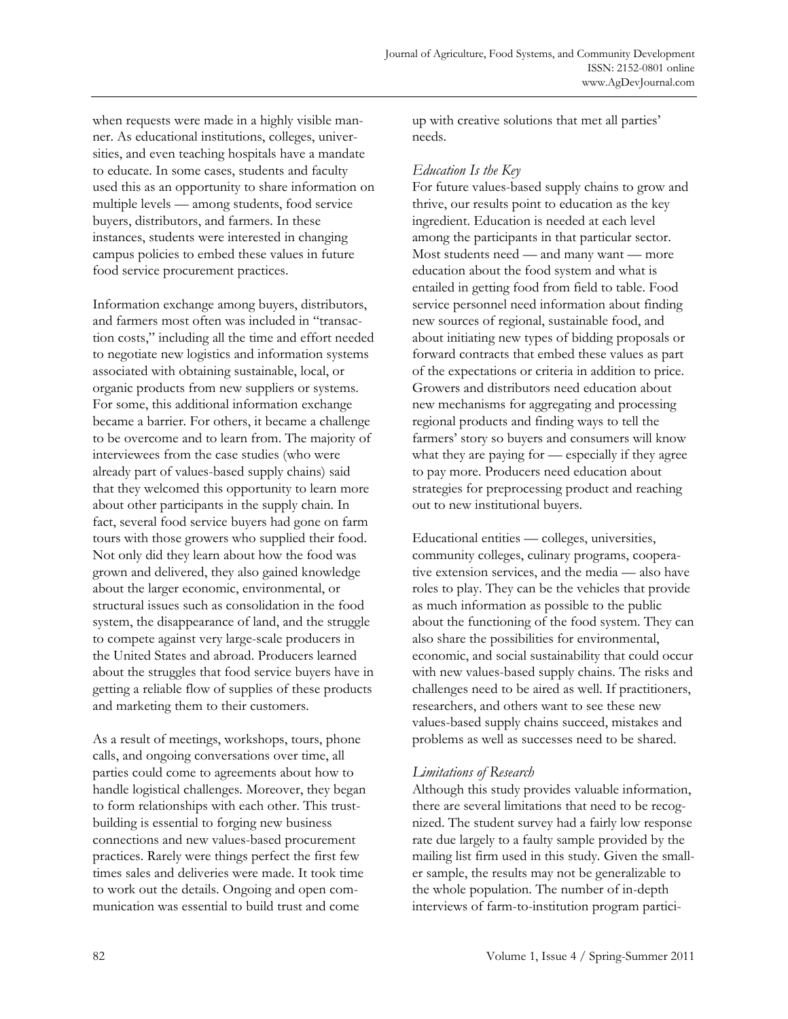when requests were made in a highly visible manner. As educational institutions, colleges, universities, and even teaching hospitals have a mandate to educate. In some cases, students and faculty used this as an opportunity to share information on multiple levels — among students, food service buyers, distributors, and farmers. In these instances, students were interested in changing campus policies to embed these values in future food service procurement practices.

Information exchange among buyers, distributors, and farmers most often was included in "transaction costs," including all the time and effort needed to negotiate new logistics and information systems associated with obtaining sustainable, local, or organic products from new suppliers or systems. For some, this additional information exchange became a barrier. For others, it became a challenge to be overcome and to learn from. The majority of interviewees from the case studies (who were already part of values-based supply chains) said that they welcomed this opportunity to learn more about other participants in the supply chain. In fact, several food service buyers had gone on farm tours with those growers who supplied their food. Not only did they learn about how the food was grown and delivered, they also gained knowledge about the larger economic, environmental, or structural issues such as consolidation in the food system, the disappearance of land, and the struggle to compete against very large-scale producers in the United States and abroad. Producers learned about the struggles that food service buyers have in getting a reliable flow of supplies of these products and marketing them to their customers.

As a result of meetings, workshops, tours, phone calls, and ongoing conversations over time, all parties could come to agreements about how to handle logistical challenges. Moreover, they began to form relationships with each other. This trustbuilding is essential to forging new business connections and new values-based procurement practices. Rarely were things perfect the first few times sales and deliveries were made. It took time to work out the details. Ongoing and open communication was essential to build trust and come

up with creative solutions that met all parties' needs.

# *Education Is the Key*

For future values-based supply chains to grow and thrive, our results point to education as the key ingredient. Education is needed at each level among the participants in that particular sector. Most students need — and many want — more education about the food system and what is entailed in getting food from field to table. Food service personnel need information about finding new sources of regional, sustainable food, and about initiating new types of bidding proposals or forward contracts that embed these values as part of the expectations or criteria in addition to price. Growers and distributors need education about new mechanisms for aggregating and processing regional products and finding ways to tell the farmers' story so buyers and consumers will know what they are paying for — especially if they agree to pay more. Producers need education about strategies for preprocessing product and reaching out to new institutional buyers.

Educational entities — colleges, universities, community colleges, culinary programs, cooperative extension services, and the media — also have roles to play. They can be the vehicles that provide as much information as possible to the public about the functioning of the food system. They can also share the possibilities for environmental, economic, and social sustainability that could occur with new values-based supply chains. The risks and challenges need to be aired as well. If practitioners, researchers, and others want to see these new values-based supply chains succeed, mistakes and problems as well as successes need to be shared.

# *Limitations of Research*

Although this study provides valuable information, there are several limitations that need to be recognized. The student survey had a fairly low response rate due largely to a faulty sample provided by the mailing list firm used in this study. Given the smaller sample, the results may not be generalizable to the whole population. The number of in-depth interviews of farm-to-institution program partici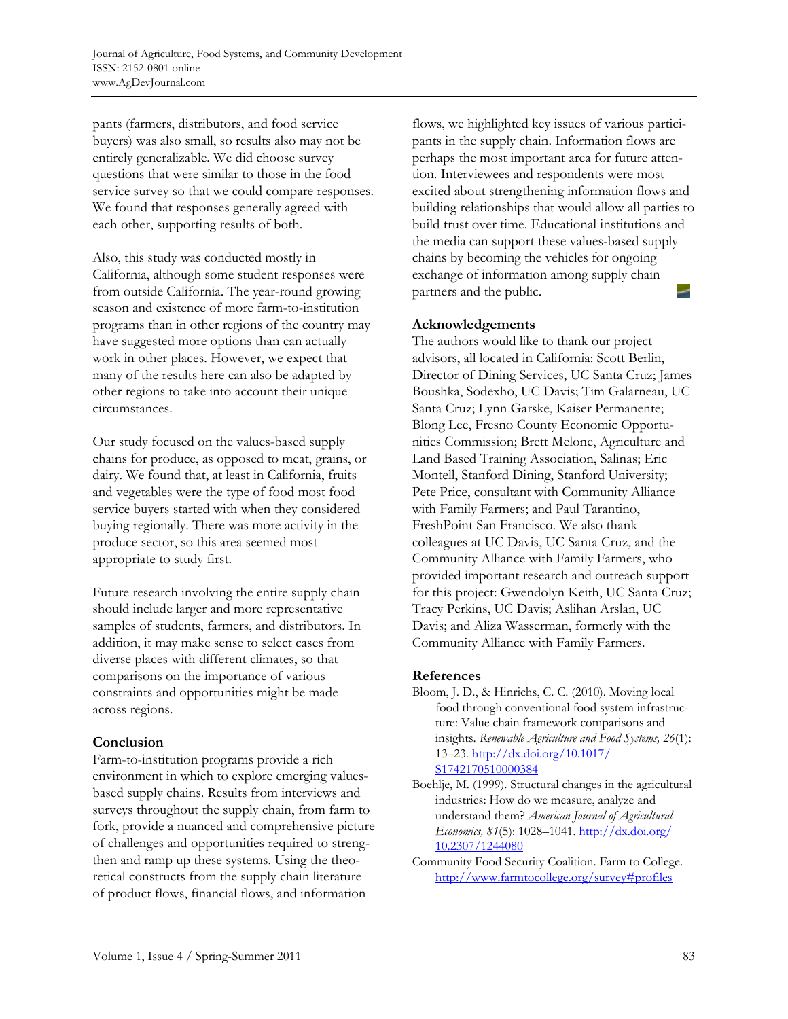pants (farmers, distributors, and food service buyers) was also small, so results also may not be entirely generalizable. We did choose survey questions that were similar to those in the food service survey so that we could compare responses. We found that responses generally agreed with each other, supporting results of both.

Also, this study was conducted mostly in California, although some student responses were from outside California. The year-round growing season and existence of more farm-to-institution programs than in other regions of the country may have suggested more options than can actually work in other places. However, we expect that many of the results here can also be adapted by other regions to take into account their unique circumstances.

Our study focused on the values-based supply chains for produce, as opposed to meat, grains, or dairy. We found that, at least in California, fruits and vegetables were the type of food most food service buyers started with when they considered buying regionally. There was more activity in the produce sector, so this area seemed most appropriate to study first.

Future research involving the entire supply chain should include larger and more representative samples of students, farmers, and distributors. In addition, it may make sense to select cases from diverse places with different climates, so that comparisons on the importance of various constraints and opportunities might be made across regions.

# **Conclusion**

Farm-to-institution programs provide a rich environment in which to explore emerging valuesbased supply chains. Results from interviews and surveys throughout the supply chain, from farm to fork, provide a nuanced and comprehensive picture of challenges and opportunities required to strengthen and ramp up these systems. Using the theoretical constructs from the supply chain literature of product flows, financial flows, and information

flows, we highlighted key issues of various participants in the supply chain. Information flows are perhaps the most important area for future attention. Interviewees and respondents were most excited about strengthening information flows and building relationships that would allow all parties to build trust over time. Educational institutions and the media can support these values-based supply chains by becoming the vehicles for ongoing exchange of information among supply chain partners and the public.

### **Acknowledgements**

The authors would like to thank our project advisors, all located in California: Scott Berlin, Director of Dining Services, UC Santa Cruz; James Boushka, Sodexho, UC Davis; Tim Galarneau, UC Santa Cruz; Lynn Garske, Kaiser Permanente; Blong Lee, Fresno County Economic Opportunities Commission; Brett Melone, Agriculture and Land Based Training Association, Salinas; Eric Montell, Stanford Dining, Stanford University; Pete Price, consultant with Community Alliance with Family Farmers; and Paul Tarantino, FreshPoint San Francisco. We also thank colleagues at UC Davis, UC Santa Cruz, and the Community Alliance with Family Farmers, who provided important research and outreach support for this project: Gwendolyn Keith, UC Santa Cruz; Tracy Perkins, UC Davis; Aslihan Arslan, UC Davis; and Aliza Wasserman, formerly with the Community Alliance with Family Farmers.

### **References**

- Bloom, J. D., & Hinrichs, C. C. (2010). Moving local food through conventional food system infrastructure: Value chain framework comparisons and insights. *Renewable Agriculture and Food Systems, 26*(1): [13–23. http://dx.doi.org/10.1017/](http://dx.doi.org/10.1017/S1742170510000384)  S1742170510000384
- Boehlje, M. (1999). Structural changes in the agricultural industries: How do we measure, analyze and understand them? *American Journal of Agricultural Economics, 81*[\(5\): 1028–1041. http://dx.doi.org/](http://dx.doi.org/10.2307/1244080) 10.2307/1244080
- Community Food Security Coalition. Farm to College. <http://www.farmtocollege.org/survey#profiles>